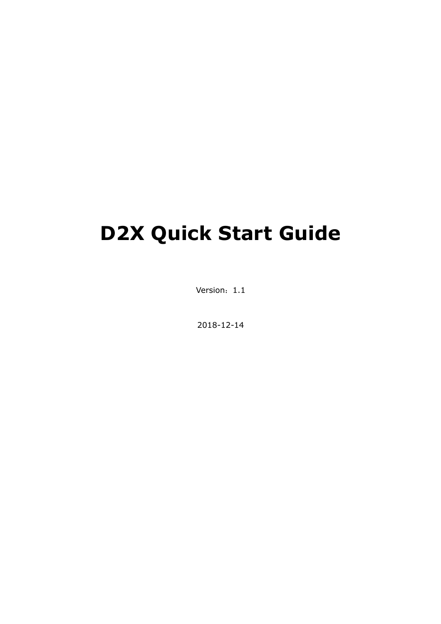# **D2X Quick Start Guide**

Version: 1.1

2018-12-14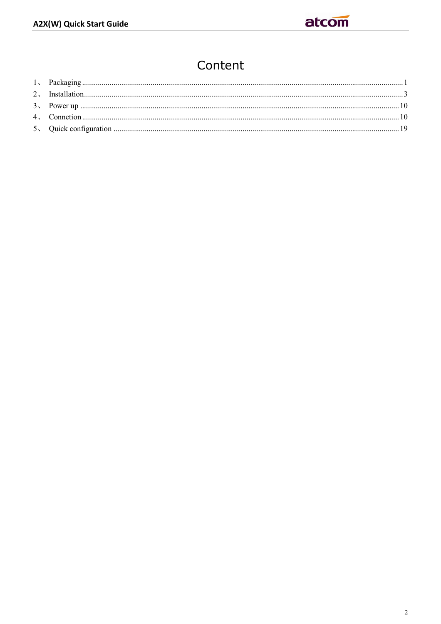# Content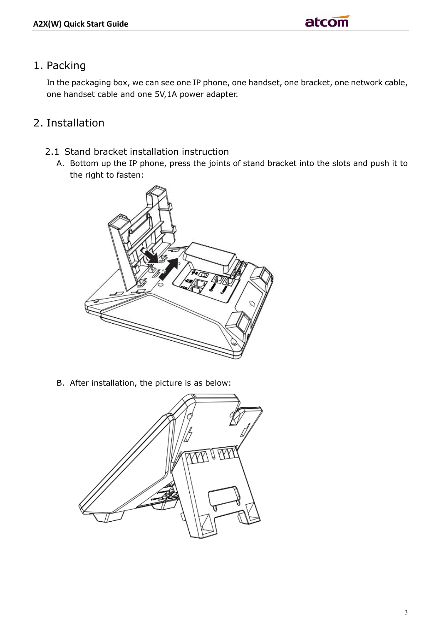## 1. Packing

In the packaging box, we can see one IP phone, one handset, one bracket, one network cable, one handset cable and one 5V,1A power adapter.

# 2. Installation

- 2.1 Stand bracket installation instruction
	- A. Bottom up the IP phone, press the joints of stand bracket into the slots and push it to the right to fasten:



B. After installation, the picture is as below:

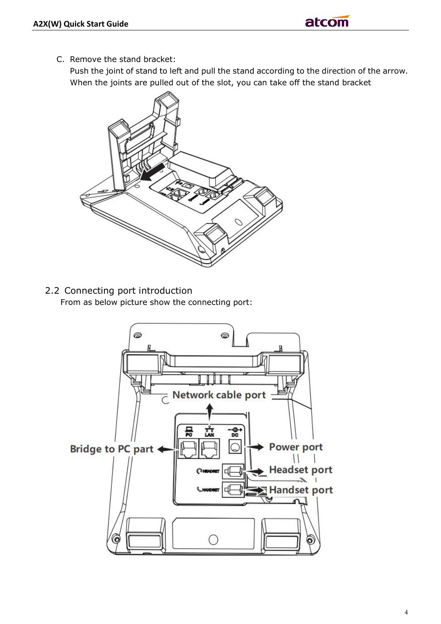C. Remove the stand bracket:

Push the joint of stand to left and pull the stand according to the direction of the arrow. When the joints are pulled out of the slot, you can take off the stand bracket



2.2 Connecting port introduction From as below picture show the connecting port:

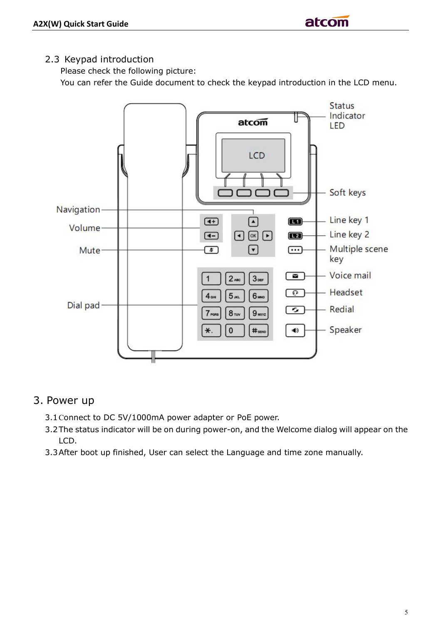#### 2.3 Keypad introduction

Please check the following picture:

You can refer the Guide document to check the keypad introduction in the LCD menu.



### 3. Power up

- 3.1Connect to DC 5V/1000mA power adapter or PoE power.
- 3.2The status indicator will be on during power-on, and the Welcome dialog will appear on the LCD.
- 3.3After boot up finished, User can select the Language and time zone manually.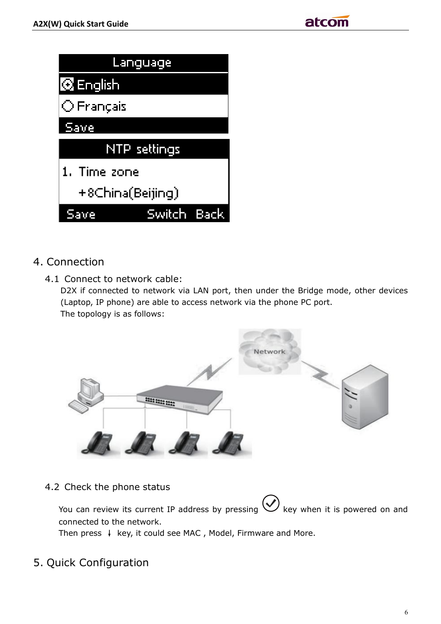| <u>Language</u>     |             |  |  |  |  |  |
|---------------------|-------------|--|--|--|--|--|
| <b>Q</b> English    |             |  |  |  |  |  |
| $\bigcirc$ Français |             |  |  |  |  |  |
| <u>.Save</u>        |             |  |  |  |  |  |
| NTP settings        |             |  |  |  |  |  |
| 1. Time zone        |             |  |  |  |  |  |
| +8China(Beijing)    |             |  |  |  |  |  |
|                     | Switch Back |  |  |  |  |  |

- 4. Connection
	- 4.1 Connect to network cable:

D2X if connected to network via LAN port, then under the Bridge mode, other devices (Laptop, IP phone) are able to access network via the phone PC port. The topology is as follows:



4.2 Check the phone status

You can review its current IP address by pressing  $\bigotimes$  key when it is powered on and connected to the network.

Then press **↓** key, it could see MAC , Model, Firmware and More.

5. Quick Configuration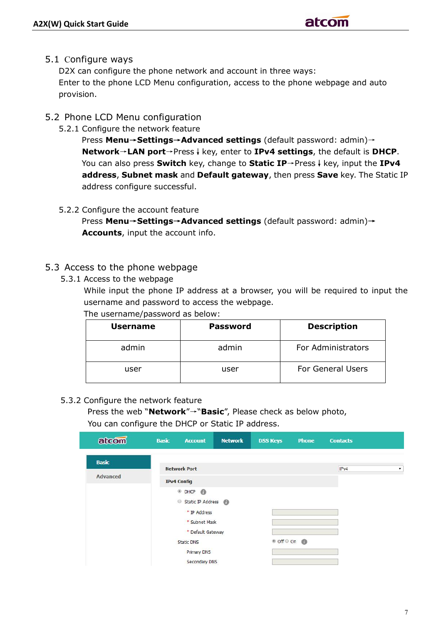#### 5.1 Configure ways

D2X can configure the phone network and account in three ways: Enter to the phone LCD Menu configuration, access to the phone webpage and auto provision.

- 5.2 Phone LCD Menu configuration
	- 5.2.1 Configure the network feature

 Press **Menu→Settings→Advanced settings** (default password: admin)→ **Network**→**LAN port**→Press**↓**key, enter to **IPv4 settings**, the default is **DHCP**. You can also press **Switch** key, change to **Static IP**→Press**↓**key, input the **IPv4 address**, **Subnet mask** and **Default gateway**, then press **Save** key. The Static IP address configure successful.

5.2.2 Configure the account feature

 Press **Menu→Settings→Advanced settings** (default password: admin)**→ Accounts**, input the account info.

#### 5.3 Access to the phone webpage

5.3.1 Access to the webpage

While input the phone IP address at a browser, you will be required to input the username and password to access the webpage.

The username/password as below:

| <b>Username</b> | Password | <b>Description</b>       |  |  |
|-----------------|----------|--------------------------|--|--|
| admin           | admin    | For Administrators       |  |  |
| user            | user     | <b>For General Users</b> |  |  |

#### 5.3.2 Configure the network feature

 Press the web "**Network**"→"**Basic**", Please check as below photo, You can configure the DHCP or Static IP address.

| atcom        | <b>Basic</b>       | <b>Account</b>                                             | <b>Network</b> | <b>DSS Keys</b>       | <b>Phone</b> | <b>Contacts</b> |                    |
|--------------|--------------------|------------------------------------------------------------|----------------|-----------------------|--------------|-----------------|--------------------|
| <b>Basic</b> |                    | <b>Network Port</b>                                        |                |                       |              | IPv4            | $\pmb{\mathrm{v}}$ |
| Advanced     | <b>IPv4 Config</b> |                                                            |                |                       |              |                 |                    |
|              |                    | $^{\circ}$ DHCP $^{\circ}$<br>$\odot$<br>Static IP Address |                |                       |              |                 |                    |
|              |                    | * IP Address<br>* Subnet Mask                              |                |                       |              |                 |                    |
|              |                    | * Default Gateway<br><b>Static DNS</b>                     |                | <sup>● Off ● On</sup> |              |                 |                    |
|              |                    | <b>Primary DNS</b><br><b>Secondary DNS</b>                 |                |                       |              |                 |                    |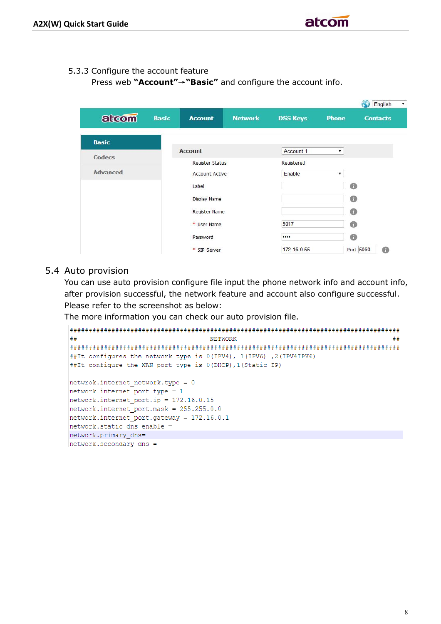#### 5.3.3 Configure the account feature

Press web **"Account"→"Basic"** and configure the account info.

|                 |               |                        |                |                 |              | English<br>۷.   |
|-----------------|---------------|------------------------|----------------|-----------------|--------------|-----------------|
| atcom           | <b>Basic</b>  | <b>Account</b>         | <b>Network</b> | <b>DSS Keys</b> | <b>Phone</b> | <b>Contacts</b> |
| <b>Basic</b>    |               |                        |                |                 |              |                 |
| Codecs          |               | <b>Account</b>         |                | Account 1       | ▼            |                 |
|                 |               | <b>Register Status</b> |                | Registered      |              |                 |
| <b>Advanced</b> |               | <b>Account Active</b>  |                | Enable          | ۷            |                 |
|                 |               | Label                  |                |                 |              | $\bullet$       |
|                 |               | Display Name           |                |                 |              | 0               |
|                 | Register Name |                        |                |                 |              | $\bullet$       |
|                 |               | * User Name            |                | 5017            |              | 0               |
|                 |               | Password               |                |                 |              | $\bullet$       |
|                 |               | * SIP Server           |                | 172.16.0.55     |              | 0<br>Port 5060  |

#### 5.4 Auto provision

You can use auto provision configure file input the phone network info and account info, after provision successful, the network feature and account also configure successful. Please refer to the screenshot as below:

The more information you can check our auto provision file.

```
##NETWORK
                                                             ##
##It configures the network type is 0(IPV4), 1(IPV6), 2(IPV4IPV6)
##It configure the WAN port type is 0 (DHCP), 1 (Static IP)
netwrok.internet network.type = 0
network.internet port.\text{type} = 1network.internet port.jp = 172.16.0.15network.internet-port.maxk = 255.255.0.0network.internet_port.gateway = 172.16.0.1
network. static dns enable =
network.primary dns=
network.\,secondary\, dns =
```